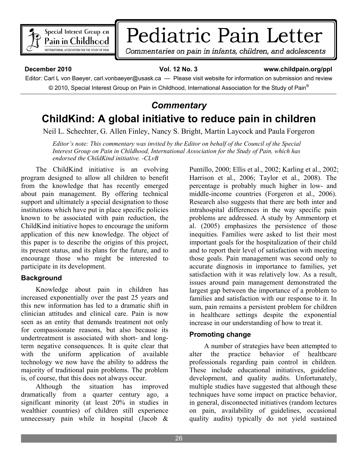

# Pediatric Pain Letter

Commentaries on pain in infants, children, and adolescents

#### **December 2010 12 No. 3 www.childpain.org/ppl**

Editor: Carl L von Baeyer, carl.vonbaeyer@usask.ca — Please visit website for information on submission and review © 2010, Special Interest Group on Pain in Childhood, International Association for the Study of Pain<sup>®</sup>

## *Commentary*  **ChildKind: A global initiative to reduce pain in children**

Neil L. Schechter, G. Allen Finley, Nancy S. Bright, Martin Laycock and Paula Forgeron

*Editor's note: This commentary was invited by the Editor on behalf of the Council of the Special Interest Group on Pain in Childhood, International Association for the Study of Pain, which has endorsed the ChildKind initiative. -CLvB* 

 The ChildKind initiative is an evolving program designed to allow all children to benefit from the knowledge that has recently emerged about pain management. By offering technical support and ultimately a special designation to those institutions which have put in place specific policies known to be associated with pain reduction, the ChildKind initiative hopes to encourage the uniform application of this new knowledge. The object of this paper is to describe the origins of this project, its present status, and its plans for the future, and to encourage those who might be interested to participate in its development.

#### **Background**

 Knowledge about pain in children has increased exponentially over the past 25 years and this new information has led to a dramatic shift in clinician attitudes and clinical care. Pain is now seen as an entity that demands treatment not only for compassionate reasons, but also because its undertreatment is associated with short- and longterm negative consequences. It is quite clear that with the uniform application of available technology we now have the ability to address the majority of traditional pain problems. The problem is, of course, that this does not always occur.

 Although the situation has improved dramatically from a quarter century ago, a significant minority (at least 20% in studies in wealthier countries) of children still experience unnecessary pain while in hospital (Jacob &

Puntillo, 2000; Ellis et al., 2002; Karling et al., 2002; Harrison et al., 2006; Taylor et al., 2008). The percentage is probably much higher in low- and middle-income countries (Forgeron et al., 2006). Research also suggests that there are both inter and intrahospital differences in the way specific pain problems are addressed. A study by Ammentorp et al. (2005) emphasizes the persistence of those inequities. Families were asked to list their most important goals for the hospitalization of their child and to report their level of satisfaction with meeting those goals. Pain management was second only to accurate diagnosis in importance to families, yet satisfaction with it was relatively low. As a result, issues around pain management demonstrated the largest gap between the importance of a problem to families and satisfaction with our response to it. In sum, pain remains a persistent problem for children in healthcare settings despite the exponential increase in our understanding of how to treat it.

#### **Promoting change**

 A number of strategies have been attempted to alter the practice behavior of healthcare professionals regarding pain control in children. These include educational initiatives, guideline development, and quality audits. Unfortunately, multiple studies have suggested that although these techniques have some impact on practice behavior, in general, disconnected initiatives (random lectures on pain, availability of guidelines, occasional quality audits) typically do not yield sustained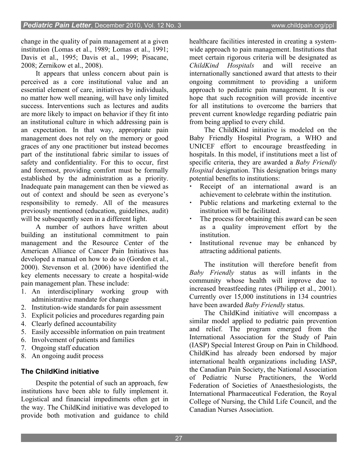change in the quality of pain management at a given institution (Lomas et al., 1989; Lomas et al., 1991; Davis et al., 1995; Davis et al., 1999; Pisacane, 2008; Zernikow et al., 2008).

 It appears that unless concern about pain is perceived as a core institutional value and an essential element of care, initiatives by individuals, no matter how well meaning, will have only limited success. Interventions such as lectures and audits are more likely to impact on behavior if they fit into an institutional culture in which addressing pain is an expectation. In that way, appropriate pain management does not rely on the memory or good graces of any one practitioner but instead becomes part of the institutional fabric similar to issues of safety and confidentiality. For this to occur, first and foremost, providing comfort must be formally established by the administration as a priority. Inadequate pain management can then be viewed as out of context and should be seen as everyone's responsibility to remedy. All of the measures previously mentioned (education, guidelines, audit) will be subsequently seen in a different light.

 A number of authors have written about building an institutional commitment to pain management and the Resource Center of the American Alliance of Cancer Pain Initiatives has developed a manual on how to do so (Gordon et al., 2000). Stevenson et al. (2006) have identified the key elements necessary to create a hospital-wide pain management plan. These include:

- 1. An interdisciplinary working group with administrative mandate for change
- 2. Institution-wide standards for pain assessment
- 3. Explicit policies and procedures regarding pain
- 4. Clearly defined accountability
- 5. Easily accessible information on pain treatment
- 6. Involvement of patients and families
- 7. Ongoing staff education
- 8. An ongoing audit process

## **The ChildKind initiative**

 Despite the potential of such an approach, few institutions have been able to fully implement it. Logistical and financial impediments often get in the way. The ChildKind initiative was developed to provide both motivation and guidance to child

healthcare facilities interested in creating a systemwide approach to pain management. Institutions that meet certain rigorous criteria will be designated as *ChildKind Hospitals* and will receive an internationally sanctioned award that attests to their ongoing commitment to providing a uniform approach to pediatric pain management. It is our hope that such recognition will provide incentive for all institutions to overcome the barriers that prevent current knowledge regarding pediatric pain from being applied to every child.

 The ChildKind initiative is modeled on the Baby Friendly Hospital Program, a WHO and UNICEF effort to encourage breastfeeding in hospitals. In this model, if institutions meet a list of specific criteria, they are awarded a *Baby Friendly Hospital* designation. This designation brings many potential benefits to institutions:

- Receipt of an international award is an achievement to celebrate within the institution.
- Public relations and marketing external to the institution will be facilitated.
- The process for obtaining this award can be seen as a quality improvement effort by the institution.
- Institutional revenue may be enhanced by attracting additional patients.

 The institution will therefore benefit from *Baby Friendly* status as will infants in the community whose health will improve due to increased breastfeeding rates (Philipp et al., 2001). Currently over 15,000 institutions in 134 countries have been awarded *Baby Friendly* status.

 The ChildKind initiative will encompass a similar model applied to pediatric pain prevention and relief. The program emerged from the International Association for the Study of Pain (IASP) Special Interest Group on Pain in Childhood. ChildKind has already been endorsed by major international health organizations including IASP, the Canadian Pain Society, the National Association of Pediatric Nurse Practitioners, the World Federation of Societies of Anaesthesiologists, the International Pharmaceutical Federation, the Royal College of Nursing, the Child Life Council, and the Canadian Nurses Association.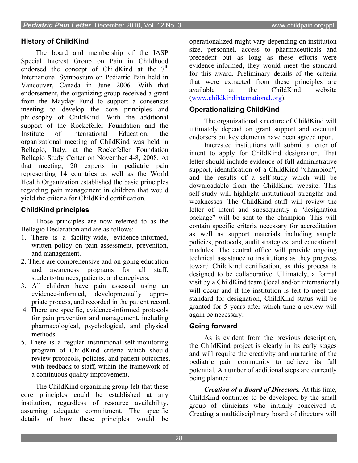### **History of ChildKind**

 The board and membership of the IASP Special Interest Group on Pain in Childhood endorsed the concept of ChildKind at the  $7<sup>th</sup>$ International Symposium on Pediatric Pain held in Vancouver, Canada in June 2006. With that endorsement, the organizing group received a grant from the Mayday Fund to support a consensus meeting to develop the core principles and philosophy of ChildKind. With the additional support of the Rockefeller Foundation and the Institute of International Education, the organizational meeting of ChildKind was held in Bellagio, Italy, at the Rockefeller Foundation Bellagio Study Center on November 4-8, 2008. At that meeting, 20 experts in pediatric pain representing 14 countries as well as the World Health Organization established the basic principles regarding pain management in children that would yield the criteria for ChildKind certification.

#### **ChildKind principles**

 Those principles are now referred to as the Bellagio Declaration and are as follows:

- 1. There is a facility-wide, evidence-informed, written policy on pain assessment, prevention, and management.
- 2. There are comprehensive and on-going education and awareness programs for all staff, students/trainees, patients, and caregivers.
- 3. All children have pain assessed using an evidence-informed, developmentally appropriate process, and recorded in the patient record.
- 4. There are specific, evidence-informed protocols for pain prevention and management, including pharmacological, psychological, and physical methods.
- 5. There is a regular institutional self-monitoring program of ChildKind criteria which should review protocols, policies, and patient outcomes, with feedback to staff, within the framework of a continuous quality improvement.

 The ChildKind organizing group felt that these core principles could be established at any institution, regardless of resource availability, assuming adequate commitment. The specific details of how these principles would be

operationalized might vary depending on institution size, personnel, access to pharmaceuticals and precedent but as long as these efforts were evidence-informed, they would meet the standard for this award. Preliminary details of the criteria that were extracted from these principles are available at the ChildKind website ([www.childkindinternational.org\)](http://www.childkindinternational.org/).

#### **Operationalizing ChildKind**

 The organizational structure of ChildKind will ultimately depend on grant support and eventual endorsers but key elements have been agreed upon.

 Interested institutions will submit a letter of intent to apply for ChildKind designation. That letter should include evidence of full administrative support, identification of a ChildKind "champion", and the results of a self-study which will be downloadable from the ChildKind website. This self-study will highlight institutional strengths and weaknesses. The ChildKind staff will review the letter of intent and subsequently a "designation package" will be sent to the champion. This will contain specific criteria necessary for accreditation as well as support materials including sample policies, protocols, audit strategies, and educational modules. The central office will provide ongoing technical assistance to institutions as they progress toward ChildKind certification, as this process is designed to be collaborative. Ultimately, a formal visit by a ChildKind team (local and/or international) will occur and if the institution is felt to meet the standard for designation, ChildKind status will be granted for 5 years after which time a review will again be necessary.

#### **Going forward**

 As is evident from the previous description, the ChildKind project is clearly in its early stages and will require the creativity and nurturing of the pediatric pain community to achieve its full potential. A number of additional steps are currently being planned:

 *Creation of a Board of Directors.* At this time, ChildKind continues to be developed by the small group of clinicians who initially conceived it. Creating a multidisciplinary board of directors will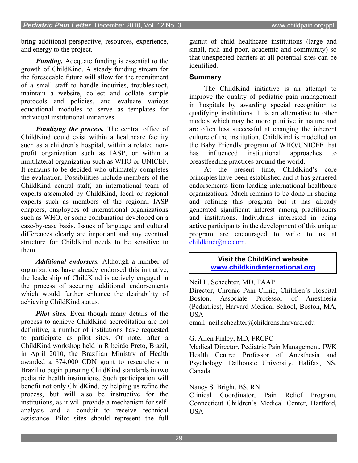bring additional perspective, resources, experience, and energy to the project.

*Funding.* Adequate funding is essential to the growth of ChildKind. A steady funding stream for the foreseeable future will allow for the recruitment of a small staff to handle inquiries, troubleshoot, maintain a website, collect and collate sample protocols and policies, and evaluate various educational modules to serve as templates for individual institutional initiatives.

*Finalizing the process.* The central office of ChildKind could exist within a healthcare facility such as a children's hospital, within a related nonprofit organization such as IASP, or within a multilateral organization such as WHO or UNICEF. It remains to be decided who ultimately completes the evaluation. Possibilities include members of the ChildKind central staff, an international team of experts assembled by ChildKind, local or regional experts such as members of the regional IASP chapters, employees of international organizations such as WHO, or some combination developed on a case-by-case basis. Issues of language and cultural differences clearly are important and any eventual structure for ChildKind needs to be sensitive to them.

 *Additional endorsers.* Although a number of organizations have already endorsed this initiative, the leadership of ChildKind is actively engaged in the process of securing additional endorsements which would further enhance the desirability of achieving ChildKind status.

 *Pilot sites.* Even though many details of the process to achieve ChildKind accreditation are not definitive, a number of institutions have requested to participate as pilot sites. Of note, after a ChildKind workshop held in Ribeirão Preto, Brazil, in April 2010, the Brazilian Ministry of Health awarded a \$74,000 CDN grant to researchers in Brazil to begin pursuing ChildKind standards in two pediatric health institutions. Such participation will benefit not only ChildKind, by helping us refine the process, but will also be instructive for the institutions, as it will provide a mechanism for selfanalysis and a conduit to receive technical assistance. Pilot sites should represent the full

gamut of child healthcare institutions (large and small, rich and poor, academic and community) so that unexpected barriers at all potential sites can be identified.

#### **Summary**

 The ChildKind initiative is an attempt to improve the quality of pediatric pain management in hospitals by awarding special recognition to qualifying institutions. It is an alternative to other models which may be more punitive in nature and are often less successful at changing the inherent culture of the institution. ChildKind is modelled on the Baby Friendly program of WHO/UNICEF that has influenced institutional approaches to breastfeeding practices around the world.

 At the present time, ChildKind's core principles have been established and it has garnered endorsements from leading international healthcare organizations. Much remains to be done in shaping and refining this program but it has already generated significant interest among practitioners and institutions. Individuals interested in being active participants in the development of this unique program are encouraged to write to us at [childkind@me.com.](mailto:info@childkindinternational.org)

> **Visit the ChildKind website [www.childkindinternational.org](http://www.childkindinternational.org/)**

Neil L. Schechter, MD, FAAP

Director, Chronic Pain Clinic, Children's Hospital Boston; Associate Professor of Anesthesia (Pediatrics), Harvard Medical School, Boston, MA, USA

email: neil.schechter@childrens.harvard.edu

#### G. Allen Finley, MD, FRCPC

Medical Director, Pediatric Pain Management, IWK Health Centre; Professor of Anesthesia and Psychology, Dalhousie University, Halifax, NS, Canada

#### Nancy S. Bright, BS, RN

Clinical Coordinator, Pain Relief Program, Connecticut Children's Medical Center, Hartford, **USA**